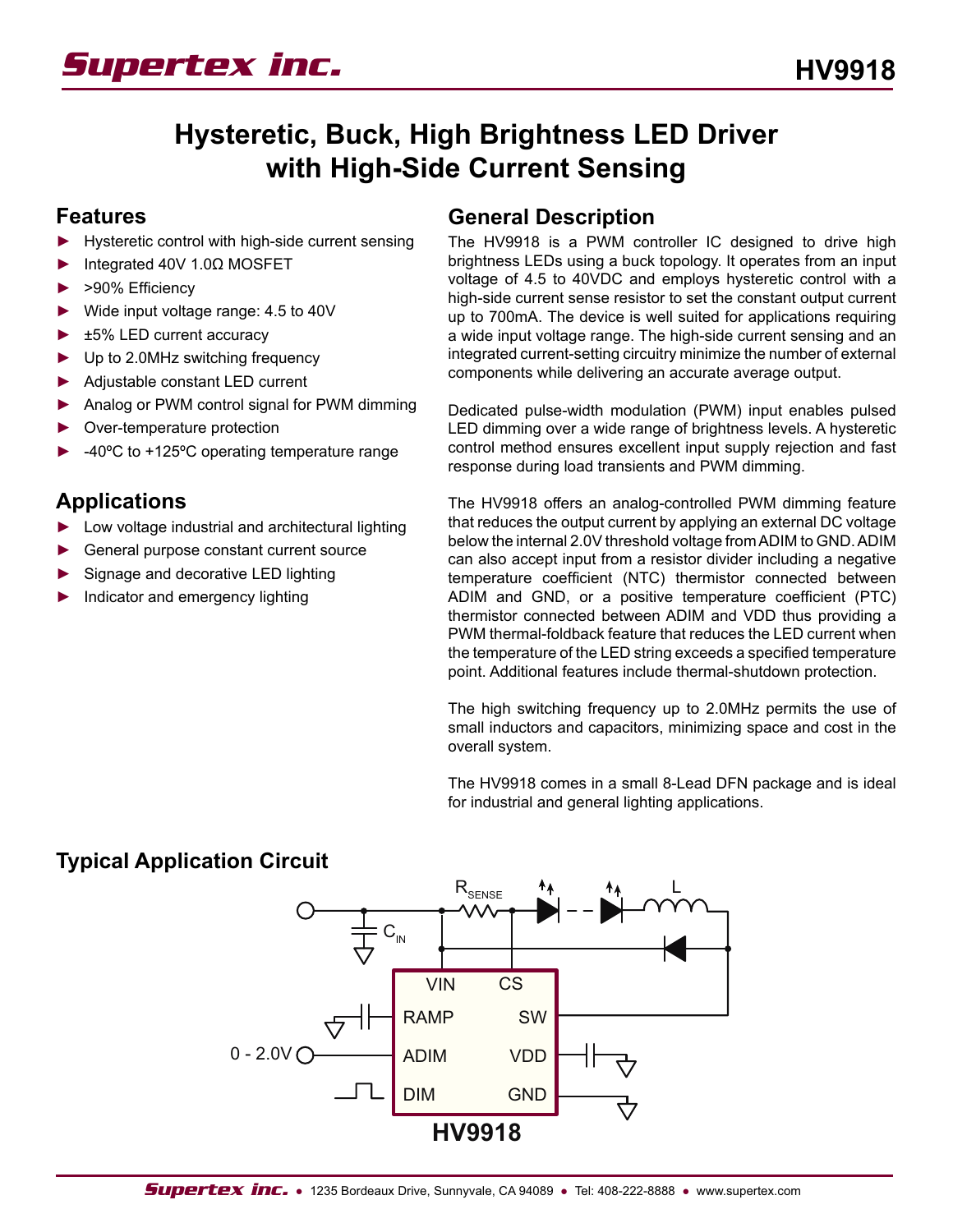

# **Hysteretic, Buck, High Brightness LED Driver with High-Side Current Sensing**

### **Features**

- Hysteretic control with high-side current sensing ►
- Integrated 40V 1.0Ω MOSFET ►
- >90% Efficiency ►
- Wide input voltage range: 4.5 to 40V ►
- ±5% LED current accuracy ►
- Up to 2.0MHz switching frequency ►
- Adjustable constant LED current ►
- Analog or PWM control signal for PWM dimming ►
- Over-temperature protection ►
- -40ºC to +125ºC operating temperature range ►

### **Applications**

- Low voltage industrial and architectural lighting ►
- General purpose constant current source ►
- Signage and decorative LED lighting ►
- Indicator and emergency lighting ►

### **General Description**

The HV9918 is a PWM controller IC designed to drive high brightness LEDs using a buck topology. It operates from an input voltage of 4.5 to 40VDC and employs hysteretic control with a high-side current sense resistor to set the constant output current up to 700mA. The device is well suited for applications requiring a wide input voltage range. The high-side current sensing and an integrated current-setting circuitry minimize the number of external components while delivering an accurate average output.

Dedicated pulse-width modulation (PWM) input enables pulsed LED dimming over a wide range of brightness levels. A hysteretic control method ensures excellent input supply rejection and fast response during load transients and PWM dimming.

The HV9918 offers an analog-controlled PWM dimming feature that reduces the output current by applying an external DC voltage below the internal 2.0V threshold voltage from ADIM to GND. ADIM can also accept input from a resistor divider including a negative temperature coefficient (NTC) thermistor connected between ADIM and GND, or a positive temperature coefficient (PTC) thermistor connected between ADIM and VDD thus providing a PWM thermal-foldback feature that reduces the LED current when the temperature of the LED string exceeds a specified temperature point. Additional features include thermal-shutdown protection.

The high switching frequency up to 2.0MHz permits the use of small inductors and capacitors, minimizing space and cost in the overall system.

The HV9918 comes in a small 8-Lead DFN package and is ideal for industrial and general lighting applications.

### **Typical Application Circuit**

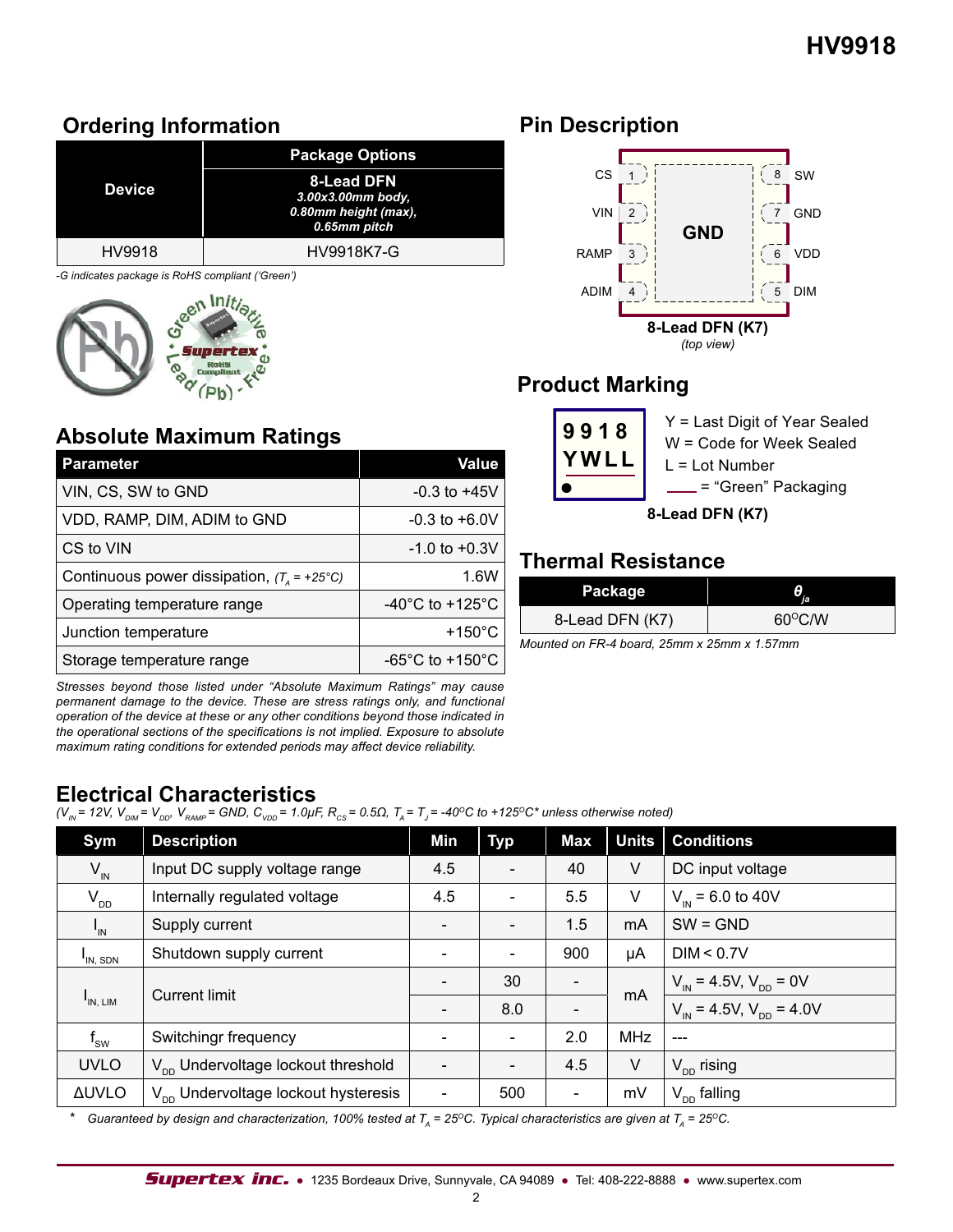# **Ordering Information**

|                                                                                             | <b>Package Options</b>                                                  |
|---------------------------------------------------------------------------------------------|-------------------------------------------------------------------------|
| <b>Device</b>                                                                               | 8-Lead DFN<br>3.00x3.00mm body.<br>0.80mm height (max),<br>0.65mm pitch |
| HV9918                                                                                      | HV9918K7-G                                                              |
| $\Omega$ indicates no clients in $\mathbb{R}^{d+1}\Omega$ consulingt $\theta\Omega$ is only |                                                                         |

*-G indicates package is RoHS compliant ('Green')*



# **Absolute Maximum Ratings**

| <b>Parameter</b>                                     | Value                                 |
|------------------------------------------------------|---------------------------------------|
| VIN, CS, SW to GND                                   | $-0.3$ to $+45V$                      |
| VDD, RAMP, DIM, ADIM to GND                          | $-0.3$ to $+6.0V$                     |
| CS to VIN                                            | $-1.0$ to $+0.3V$                     |
| Continuous power dissipation, $(T_a = +25^{\circ}C)$ | 1.6W                                  |
| Operating temperature range                          | -40 $^{\circ}$ C to +125 $^{\circ}$ C |
| Junction temperature                                 | $+150^{\circ}$ C                      |
| Storage temperature range                            | -65 $^{\circ}$ C to +150 $^{\circ}$ C |

*Stresses beyond those listed under "Absolute Maximum Ratings" may cause permanent damage to the device. These are stress ratings only, and functional operation of the device at these or any other conditions beyond those indicated in the operational sections of the specifications is not implied. Exposure to absolute maximum rating conditions for extended periods may affect device reliability.*

## **Electrical Characteristics**

 $(V_{\text{IN}} = 12V, V_{\text{DM}} = V_{\text{DD}}$ ,  $V_{\text{RAMP}} = GND$ ,  $C_{\text{VDD}} = 1.0 \mu$ F,  $R_{\text{CS}} = 0.5 \Omega$ ,  $T_{\text{A}} = T_{\text{J}} = -40^{\circ}$ C to +125<sup>o</sup>C\* unless otherwise noted)

| Sym                        | <b>Description</b>                              | Min                      | <b>Typ</b>               | <b>Max</b>               | <b>Units</b> | <b>Conditions</b>                            |
|----------------------------|-------------------------------------------------|--------------------------|--------------------------|--------------------------|--------------|----------------------------------------------|
| $V_{\text{IN}}$            | Input DC supply voltage range                   | 4.5                      |                          | 40                       | V            | DC input voltage                             |
| $V_{DD}$                   | Internally regulated voltage                    | 4.5                      |                          | 5.5                      | V            | $V_{in}$ = 6.0 to 40V                        |
| $\mathbf{I}_{\mathsf{IN}}$ | Supply current                                  |                          |                          | 1.5                      | mA           | $SW = GND$                                   |
| I <sub>IN</sub> , SDN      | Shutdown supply current                         | $\overline{\phantom{a}}$ | $\overline{\phantom{a}}$ | 900                      | μA           | DIM < 0.7V                                   |
| $I_{IN, LIM}$              | <b>Current limit</b>                            |                          | 30                       | $\overline{\phantom{a}}$ | mA           | $V_{\text{IN}}$ = 4.5V, $V_{\text{DD}}$ = 0V |
|                            |                                                 |                          | 8.0                      |                          |              | $V_{in}$ = 4.5V, $V_{on}$ = 4.0V             |
| $f_{\rm sw}$               | Switchingr frequency                            | $\overline{\phantom{a}}$ | $\overline{\phantom{a}}$ | 2.0                      | <b>MHz</b>   | $---$                                        |
| <b>UVLO</b>                | V <sub>nn</sub> Undervoltage lockout threshold  |                          |                          | 4.5                      | V            | $V_{\text{DD}}$ rising                       |
| <b>AUVLO</b>               | V <sub>nn</sub> Undervoltage lockout hysteresis | $\overline{\phantom{a}}$ | 500                      | $\overline{\phantom{a}}$ | mV           | $V_{DD}$ falling                             |

*Guaranteed by design and characterization, 100% tested at T<sub>a</sub> = 25<sup>o</sup>C. Typical characteristics are given at T<sub>a</sub> = 25<sup>o</sup>C.* 

# **Pin Description**



# **Product Marking**

|                 | 9918 | Y = Last Digit of Year Sealed<br>W = Code for Week Sealed<br>$L = Lot$ Number |  |  |  |  |  |
|-----------------|------|-------------------------------------------------------------------------------|--|--|--|--|--|
|                 |      | . = "Green" Packaging                                                         |  |  |  |  |  |
| 8-Lead DFN (K7) |      |                                                                               |  |  |  |  |  |

## **Thermal Resistance**

| Package         | Ϊē               |
|-----------------|------------------|
| 8-Lead DFN (K7) | $60^{\circ}$ C/W |

*Mounted on FR-4 board, 25mm x 25mm x 1.57mm*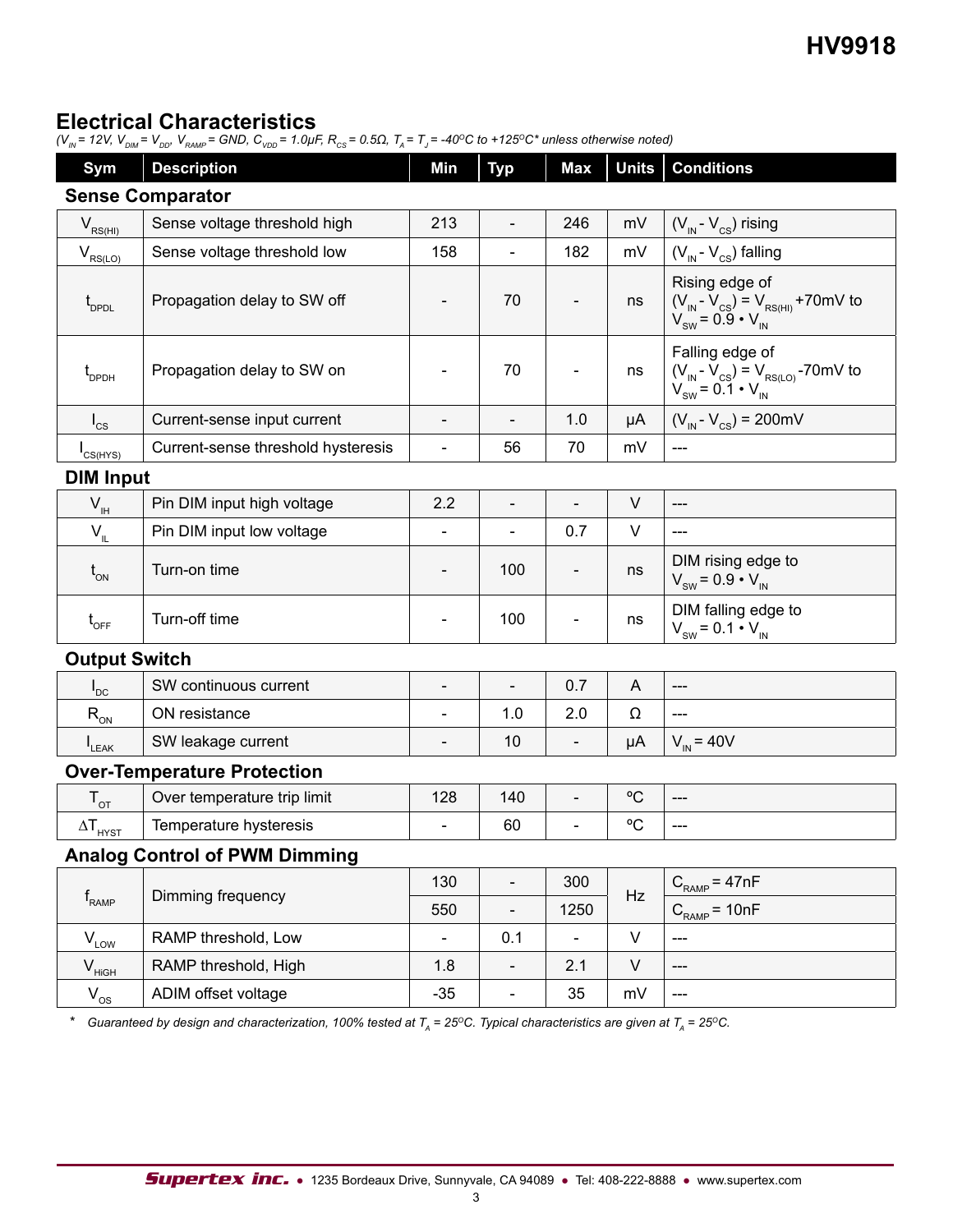### **Electrical Characteristics**

*(V<sub>IN</sub>* = 12V, V<sub>DIM</sub> = V<sub>DD</sub>, V<sub>RAMP</sub> = GND, C<sub>VDD</sub> = 1.0μF, R<sub>cs</sub> = 0.5Ω, T<sub>A</sub> = T<sub>J</sub> = -40<sup>o</sup>C to +125<sup>o</sup>C\* unless otherwise noted)

| <b>Sym</b>                                     | <b>Description</b>                   | Min                      | <b>Typ</b>                   | <b>Max</b>                   | <b>Units</b> | <b>Conditions</b>                                                                                                               |  |  |  |  |
|------------------------------------------------|--------------------------------------|--------------------------|------------------------------|------------------------------|--------------|---------------------------------------------------------------------------------------------------------------------------------|--|--|--|--|
| <b>Sense Comparator</b>                        |                                      |                          |                              |                              |              |                                                                                                                                 |  |  |  |  |
| $V_{RS(HI)}$                                   | Sense voltage threshold high         | 213                      | $\overline{\phantom{a}}$     | 246                          | mV           | $(V_{IN} - V_{CS})$ rising                                                                                                      |  |  |  |  |
| $V_{RS(LO)}$                                   | Sense voltage threshold low          | 158                      |                              | 182                          | mV           | $(V_{IN} - V_{CS})$ falling                                                                                                     |  |  |  |  |
| $t_{_{\rm DPDL}}$                              | Propagation delay to SW off          |                          | 70                           |                              | ns           | Rising edge of<br>$(V_{\text{IN}} - V_{\text{CS}}) = V_{\text{RS(HI)}} + 70$ mV to<br>$V_{\text{SW}} = 0.9 \cdot V_{\text{IN}}$ |  |  |  |  |
| $\mathfrak{t}_{_{\sf DPDH}}$                   | Propagation delay to SW on           |                          | 70                           |                              | ns           | Falling edge of<br>$(V_{\text{IN}} - V_{\text{CS}}) = V_{\text{RS}(LO)}$ -70mV to<br>V <sub>SW</sub> = 0.1 • V <sub>IN</sub>    |  |  |  |  |
| $I_{\text{cs}}$                                | Current-sense input current          | $\overline{\phantom{a}}$ | $\overline{\phantom{a}}$     | 1.0                          | μA           | $(V_{\text{IN}} - V_{\text{CS}}) = 200 \text{mV}$                                                                               |  |  |  |  |
| $I_{CS(HYS)}$                                  | Current-sense threshold hysteresis   | $\overline{a}$           | 56                           | 70                           | mV           | $\qquad \qquad \text{---}$                                                                                                      |  |  |  |  |
|                                                | <b>DIM Input</b>                     |                          |                              |                              |              |                                                                                                                                 |  |  |  |  |
| $V_{\rm IH}$                                   | Pin DIM input high voltage           | 2.2                      | $\overline{\phantom{a}}$     | $\blacksquare$               | V            | ---                                                                                                                             |  |  |  |  |
| $V_{IL}$                                       | Pin DIM input low voltage            |                          |                              | 0.7                          | V            | ---                                                                                                                             |  |  |  |  |
| $t_{_{ON}}$                                    | Turn-on time                         |                          | 100                          | $\overline{\phantom{a}}$     | ns           | DIM rising edge to<br>$V_{SW} = 0.9 \cdot V_{IN}$                                                                               |  |  |  |  |
| $\mathfrak{t}_{\rm OFF}$                       | Turn-off time                        | $\overline{\phantom{0}}$ | 100                          | $\overline{\phantom{a}}$     | ns           | DIM falling edge to<br>$V_{SW} = 0.1 \cdot V_{IN}$                                                                              |  |  |  |  |
| <b>Output Switch</b>                           |                                      |                          |                              |                              |              |                                                                                                                                 |  |  |  |  |
| $I_{DC}$                                       | SW continuous current                | $\overline{\phantom{a}}$ | $\frac{1}{2}$                | 0.7                          | A            | $---$                                                                                                                           |  |  |  |  |
| $R_{_{ON}}$                                    | ON resistance                        |                          | 1.0                          | 2.0                          | Ω            | ---                                                                                                                             |  |  |  |  |
| LEAK                                           | SW leakage current                   | $\overline{\phantom{a}}$ | 10                           | $\blacksquare$               | μA           | $V_{IN}$ = 40V                                                                                                                  |  |  |  |  |
|                                                | <b>Over-Temperature Protection</b>   |                          |                              |                              |              |                                                                                                                                 |  |  |  |  |
| $\mathsf{T}_{\text{OT}}$                       | Over temperature trip limit          | 128                      | 140                          | $\qquad \qquad \blacksquare$ | °C           | ---                                                                                                                             |  |  |  |  |
| $\Delta T_{\underline{\text{HYST}}}$           | Temperature hysteresis               |                          | 60                           | $\overline{\phantom{0}}$     | °C           | ---                                                                                                                             |  |  |  |  |
|                                                | <b>Analog Control of PWM Dimming</b> |                          |                              |                              |              |                                                                                                                                 |  |  |  |  |
|                                                | Dimming frequency                    | 130                      |                              | 300                          | Hz           | $C_{RAMP} = 47nF$                                                                                                               |  |  |  |  |
| $\mathsf{f}_{\scriptscriptstyle\mathsf{RAMP}}$ |                                      | 550                      | $\overline{\phantom{a}}$     | 1250                         |              | $C_{RAMP}$ = 10nF                                                                                                               |  |  |  |  |
| $V_{L\underline{OW}}$                          | RAMP threshold, Low                  | $\blacksquare$           | 0.1                          | $\overline{a}$               | $\vee$       | ---                                                                                                                             |  |  |  |  |
| $V_{\text{HiGH}}$                              | RAMP threshold, High                 | 1.8                      | $\blacksquare$               | 2.1                          | $\sf V$      | ---                                                                                                                             |  |  |  |  |
| $V_{os}$                                       | ADIM offset voltage                  | $-35$                    | $\qquad \qquad \blacksquare$ | 35                           | mV           | ---                                                                                                                             |  |  |  |  |

\* *Guaranteed by design and characterization, 100% tested at T<sub>A</sub> = 25<sup>o</sup>C. Typical characteristics are given at T<sub>A</sub> = 25<sup>o</sup>C.*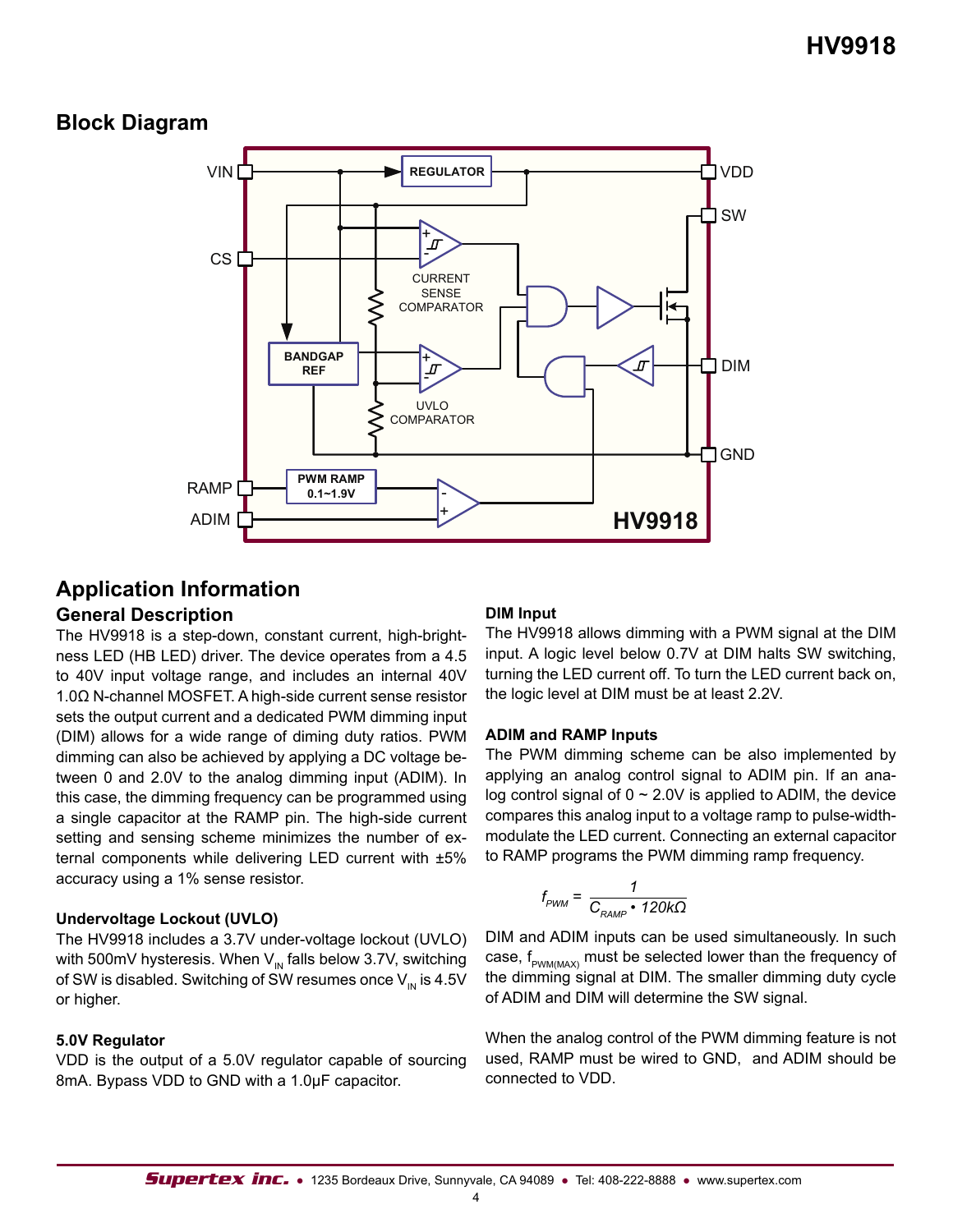### **Block Diagram**



# **Application Information**

### **General Description**

The HV9918 is a step-down, constant current, high-brightness LED (HB LED) driver. The device operates from a 4.5 to 40V input voltage range, and includes an internal 40V 1.0Ω N-channel MOSFET. A high-side current sense resistor sets the output current and a dedicated PWM dimming input (DIM) allows for a wide range of diming duty ratios. PWM dimming can also be achieved by applying a DC voltage between 0 and 2.0V to the analog dimming input (ADIM). In this case, the dimming frequency can be programmed using a single capacitor at the RAMP pin. The high-side current setting and sensing scheme minimizes the number of external components while delivering LED current with ±5% accuracy using a 1% sense resistor.

#### **Undervoltage Lockout (UVLO)**

The HV9918 includes a 3.7V under-voltage lockout (UVLO) with 500mV hysteresis. When  $V_{\text{IN}}$  falls below 3.7V, switching of SW is disabled. Switching of SW resumes once  $V_{\text{IN}}$  is 4.5V or higher.

#### **5.0V Regulator**

VDD is the output of a 5.0V regulator capable of sourcing 8mA. Bypass VDD to GND with a 1.0μF capacitor.

#### **DIM Input**

The HV9918 allows dimming with a PWM signal at the DIM input. A logic level below 0.7V at DIM halts SW switching, turning the LED current off. To turn the LED current back on, the logic level at DIM must be at least 2.2V.

#### **ADIM and RAMP Inputs**

The PWM dimming scheme can be also implemented by applying an analog control signal to ADIM pin. If an analog control signal of  $0 \sim 2.0V$  is applied to ADIM, the device compares this analog input to a voltage ramp to pulse-widthmodulate the LED current. Connecting an external capacitor to RAMP programs the PWM dimming ramp frequency.

$$
f_{\text{pWM}} = \frac{1}{C_{\text{RAMP}} \cdot 120 \text{k}\Omega}
$$

DIM and ADIM inputs can be used simultaneously. In such case,  $f_{p_{WM/MAX}}$  must be selected lower than the frequency of the dimming signal at DIM. The smaller dimming duty cycle of ADIM and DIM will determine the SW signal.

When the analog control of the PWM dimming feature is not used, RAMP must be wired to GND, and ADIM should be connected to VDD.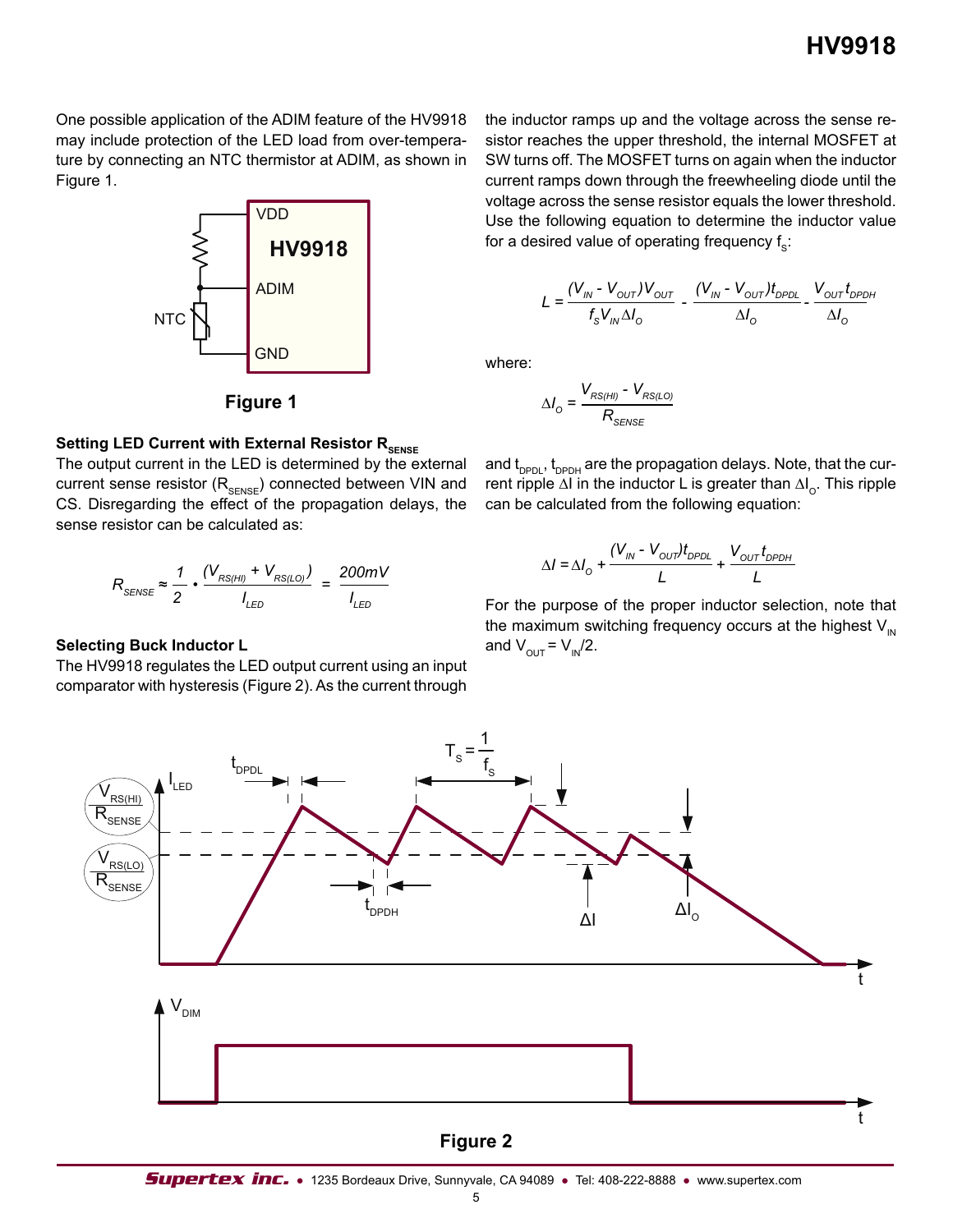One possible application of the ADIM feature of the HV9918 may include protection of the LED load from over-temperature by connecting an NTC thermistor at ADIM, as shown in Figure 1.



**Figure 1**

#### **Setting LED Current with External Resistor RSENSE**

The output current in the LED is determined by the external current sense resistor  $(R_{\text{SENSE}})$  connected between VIN and CS. Disregarding the effect of the propagation delays, the sense resistor can be calculated as:

$$
R_{\text{SENSE}} \approx \frac{1}{2} \cdot \frac{(V_{RS(HI)} + V_{RS(LO)})}{I_{LED}} = \frac{200 \text{mV}}{I_{LED}}
$$

#### **Selecting Buck Inductor L**

The HV9918 regulates the LED output current using an input comparator with hysteresis (Figure 2). As the current through

the inductor ramps up and the voltage across the sense resistor reaches the upper threshold, the internal MOSFET at SW turns off. The MOSFET turns on again when the inductor current ramps down through the freewheeling diode until the voltage across the sense resistor equals the lower threshold. Use the following equation to determine the inductor value for a desired value of operating frequency  $f_s$ .

$$
L = \frac{(V_{\text{IN}} - V_{\text{OUT}})V_{\text{OUT}}}{f_{\text{s}}V_{\text{IN}}\Delta I_{\text{O}}} - \frac{(V_{\text{IN}} - V_{\text{OUT}})t_{\text{DPDL}}}{\Delta I_{\text{O}}} - \frac{V_{\text{OUT}}t_{\text{DPDH}}}{\Delta I_{\text{O}}}
$$

where:

$$
\Delta I_{\rm O} = \frac{V_{RS(HI)}}{R_{\rm SENSE}}
$$

and t<sub>DPDL</sub>, t<sub>DPDH</sub> are the propagation delays. Note, that the current ripple ∆I in the inductor L is greater than ∆I<sub>o</sub>. This ripple can be calculated from the following equation:

$$
\Delta I = \Delta I_{\odot} + \frac{(V_{\text{IN}} - V_{\text{OUT}})t_{\text{DPDL}}}{L} + \frac{V_{\text{OUT}}t_{\text{DPDH}}}{L}
$$

For the purpose of the proper inductor selection, note that the maximum switching frequency occurs at the highest  $V_{\text{IN}}$ and  $V_{\text{OUT}} = V_{\text{IN}}/2$ .



#### **Figure 2**

5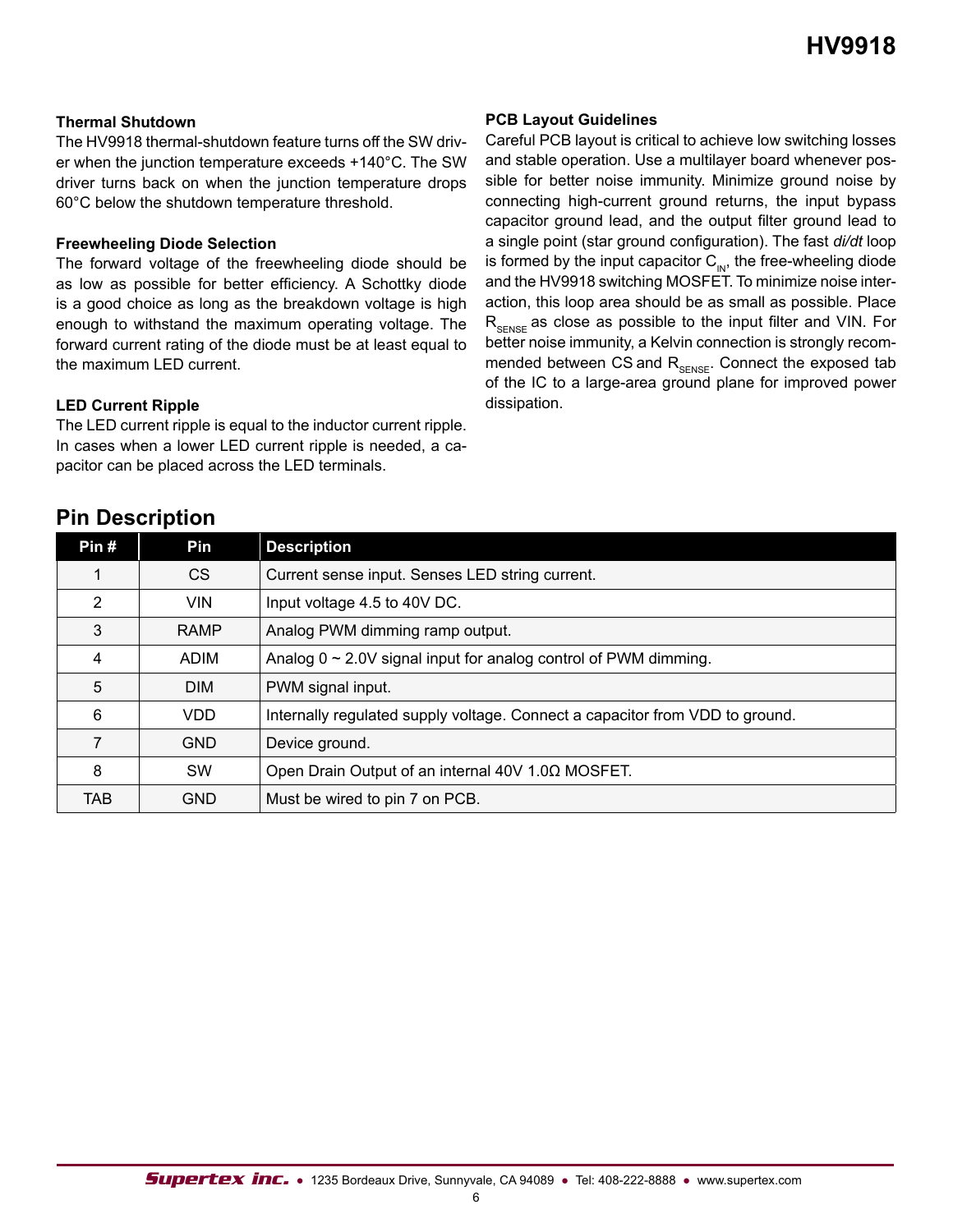#### **Thermal Shutdown**

The HV9918 thermal-shutdown feature turns off the SW driver when the junction temperature exceeds +140°C. The SW driver turns back on when the junction temperature drops 60°C below the shutdown temperature threshold.

#### **Freewheeling Diode Selection**

The forward voltage of the freewheeling diode should be as low as possible for better efficiency. A Schottky diode is a good choice as long as the breakdown voltage is high enough to withstand the maximum operating voltage. The forward current rating of the diode must be at least equal to the maximum LED current.

#### **LED Current Ripple**

The LED current ripple is equal to the inductor current ripple. In cases when a lower LED current ripple is needed, a capacitor can be placed across the LED terminals.

#### **PCB Layout Guidelines**

Careful PCB layout is critical to achieve low switching losses and stable operation. Use a multilayer board whenever possible for better noise immunity. Minimize ground noise by connecting high-current ground returns, the input bypass capacitor ground lead, and the output filter ground lead to a single point (star ground configuration). The fast *di/dt* loop is formed by the input capacitor  $C_{\text{IN}}$ , the free-wheeling diode and the HV9918 switching MOSFET. To minimize noise interaction, this loop area should be as small as possible. Place  $R_{\text{SPNSE}}$  as close as possible to the input filter and VIN. For better noise immunity, a Kelvin connection is strongly recommended between CS and  $R_{\text{SENSE}}$ . Connect the exposed tab of the IC to a large-area ground plane for improved power dissipation.

| <b>FIII DESCRIPTION</b> |             |                                                                              |
|-------------------------|-------------|------------------------------------------------------------------------------|
| Pin#                    | Pin         | <b>Description</b>                                                           |
|                         | CS.         | Current sense input. Senses LED string current.                              |
| 2                       | <b>VIN</b>  | Input voltage 4.5 to 40V DC.                                                 |
| 3                       | <b>RAMP</b> | Analog PWM dimming ramp output.                                              |
| 4                       | <b>ADIM</b> | Analog $0 \sim 2.0V$ signal input for analog control of PWM dimming.         |
| 5                       | <b>DIM</b>  | PWM signal input.                                                            |
| 6                       | VDD         | Internally regulated supply voltage. Connect a capacitor from VDD to ground. |
| 7                       | <b>GND</b>  | Device ground.                                                               |
| 8                       | <b>SW</b>   | Open Drain Output of an internal 40V 1.0Ω MOSFET.                            |
| TAB                     | <b>GND</b>  | Must be wired to pin 7 on PCB.                                               |

## **Pin Description**

6